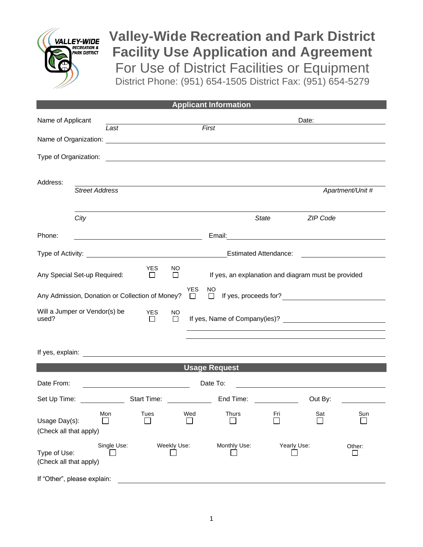

# **Valley-Wide Recreation and Park District Facility Use Application and Agreement** For Use of District Facilities or Equipment District Phone: (951) 654-1505 District Fax: (951) 654-5279

## **Applicant Information**

| Name of Applicant<br>Last                             |                       | First       |                                                   |                     |            |                                                                                                                      |                              | Date:            |          |                                                                    |
|-------------------------------------------------------|-----------------------|-------------|---------------------------------------------------|---------------------|------------|----------------------------------------------------------------------------------------------------------------------|------------------------------|------------------|----------|--------------------------------------------------------------------|
|                                                       |                       |             |                                                   |                     |            |                                                                                                                      |                              |                  |          |                                                                    |
|                                                       |                       |             |                                                   |                     |            |                                                                                                                      |                              |                  |          |                                                                    |
| Address:                                              | <b>Street Address</b> |             |                                                   |                     |            |                                                                                                                      |                              |                  |          | Apartment/Unit #                                                   |
|                                                       |                       |             |                                                   |                     |            |                                                                                                                      |                              |                  |          |                                                                    |
|                                                       | City                  |             |                                                   |                     |            |                                                                                                                      | <b>State</b>                 |                  | ZIP Code |                                                                    |
| Phone:                                                |                       |             | <u> 1990 - Johann Barbara, martin amerikan ba</u> |                     |            |                                                                                                                      |                              |                  |          |                                                                    |
|                                                       |                       |             |                                                   |                     |            |                                                                                                                      | <b>Estimated Attendance:</b> |                  |          | <u> 1989 - Andrea State Barbara, poeta esp</u>                     |
| Any Special Set-up Required:                          |                       |             | <b>YES</b><br>$\Box$                              | NO.<br>□            |            | If yes, an explanation and diagram must be provided                                                                  |                              |                  |          |                                                                    |
|                                                       |                       |             | Any Admission, Donation or Collection of Money? □ |                     | <b>YES</b> | <b>NO</b>                                                                                                            |                              |                  |          | □ If yes, proceeds for? <u>___________________________________</u> |
| Will a Jumper or Vendor(s) be<br>used?                |                       |             | <b>YES</b><br>$\Box$                              | <b>NO</b><br>$\Box$ |            |                                                                                                                      |                              |                  |          |                                                                    |
|                                                       |                       |             |                                                   |                     |            |                                                                                                                      |                              |                  |          |                                                                    |
|                                                       |                       |             |                                                   |                     |            | <u>Albert 1988 - Albert 1989 - Maria Baratas and San Albert 1989 - Albert 1989 - Albert 1989 - Albert 1989 - Alb</u> |                              |                  |          |                                                                    |
| Date From:                                            |                       |             | <u> 1980 - Johann Barbara, martin a</u>           |                     |            | Date To:                                                                                                             |                              |                  |          |                                                                    |
| Set Up Time:                                          |                       |             |                                                   |                     |            | Start Time: End Time:                                                                                                |                              |                  | Out By:  |                                                                    |
| Usage Day(s):<br>(Check all that apply)               |                       | Mon         | Tues                                              |                     | Wed        | Thurs                                                                                                                | Fri<br>冖                     |                  | Sat      | Sun                                                                |
| Single Use:<br>Type of Use:<br>(Check all that apply) |                       | Weekly Use: |                                                   | Monthly Use:        |            | Yearly Use:                                                                                                          |                              | Other:<br>$\Box$ |          |                                                                    |
| If "Other", please explain:                           |                       |             |                                                   |                     |            |                                                                                                                      |                              |                  |          |                                                                    |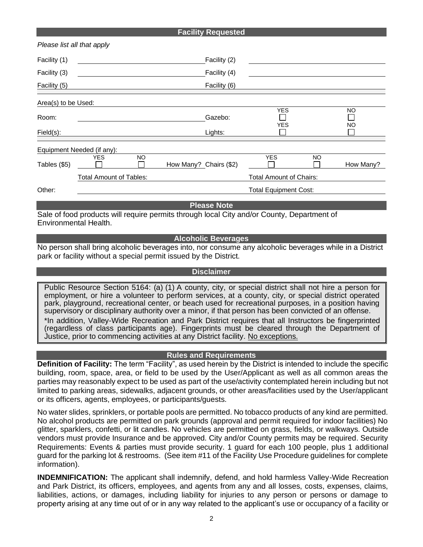#### **Facility Requested**

|                                                                                            | Please list all that apply                         |  |                        |                                |           |           |
|--------------------------------------------------------------------------------------------|----------------------------------------------------|--|------------------------|--------------------------------|-----------|-----------|
| Facility (1)                                                                               |                                                    |  | Facility (2)           |                                |           |           |
| Facility (3)                                                                               |                                                    |  | Facility (4)           |                                |           |           |
| Facility (5)                                                                               |                                                    |  | Facility (6)           |                                |           |           |
| Area(s) to be Used:                                                                        |                                                    |  |                        |                                |           |           |
| Room:                                                                                      |                                                    |  | Gazebo:                | <b>YES</b><br><b>YES</b>       |           | NO<br>NO  |
| Field(s):                                                                                  |                                                    |  | Lights:                |                                |           |           |
|                                                                                            | Equipment Needed (if any):                         |  |                        |                                |           |           |
| Tables (\$5)                                                                               | <b>YES</b><br><b>NO</b><br>$\mathbf{I}$<br>$\perp$ |  | How Many? Chairs (\$2) | <b>YES</b>                     | <b>NO</b> | How Many? |
|                                                                                            | <b>Total Amount of Tables:</b>                     |  |                        | <b>Total Amount of Chairs:</b> |           |           |
| Other:                                                                                     |                                                    |  |                        | <b>Total Equipment Cost:</b>   |           |           |
|                                                                                            |                                                    |  | <b>Please Note</b>     |                                |           |           |
| Sale of food products will require permits through local City and/or County, Department of |                                                    |  |                        |                                |           |           |

Sale of food products will require permits through local City and/or County, Department of Environmental Health.

### **Alcoholic Beverages**

No person shall bring alcoholic beverages into, nor consume any alcoholic beverages while in a District park or facility without a special permit issued by the District.

#### **Disclaimer**

Public Resource Section 5164: (a) (1) A county, city, or special district shall not hire a person for employment, or hire a volunteer to perform services, at a county, city, or special district operated park, playground, recreational center, or beach used for recreational purposes, in a position having supervisory or disciplinary authority over a minor, if that person has been convicted of an offense.

\*In addition, Valley-Wide Recreation and Park District requires that all Instructors be fingerprinted (regardless of class participants age). Fingerprints must be cleared through the Department of Justice, prior to commencing activities at any District facility. No exceptions.

## **Rules and Requirements**

**Definition of Facility:** The term "Facility", as used herein by the District is intended to include the specific building, room, space, area, or field to be used by the User/Applicant as well as all common areas the parties may reasonably expect to be used as part of the use/activity contemplated herein including but not limited to parking areas, sidewalks, adjacent grounds, or other areas/facilities used by the User/applicant or its officers, agents, employees, or participants/guests.

No water slides, sprinklers, or portable pools are permitted. No tobacco products of any kind are permitted. No alcohol products are permitted on park grounds (approval and permit required for indoor facilities) No glitter, sparklers, confetti, or lit candles. No vehicles are permitted on grass, fields, or walkways. Outside vendors must provide Insurance and be approved. City and/or County permits may be required. Security Requirements: Events & parties must provide security. 1 guard for each 100 people, plus 1 additional guard for the parking lot & restrooms. (See item #11 of the Facility Use Procedure guidelines for complete information).

**INDEMNIFICATION:** The applicant shall indemnify, defend, and hold harmless Valley-Wide Recreation and Park District, its officers, employees, and agents from any and all losses, costs, expenses, claims, liabilities, actions, or damages, including liability for injuries to any person or persons or damage to property arising at any time out of or in any way related to the applicant's use or occupancy of a facility or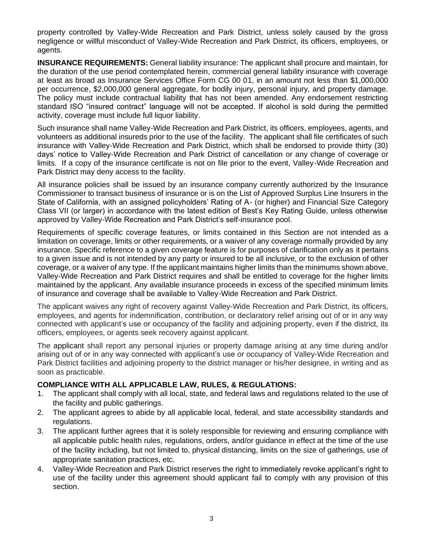property controlled by Valley-Wide Recreation and Park District, unless solely caused by the gross negligence or willful misconduct of Valley-Wide Recreation and Park District, its officers, employees, or agents.

**INSURANCE REQUIREMENTS:** General liability insurance: The applicant shall procure and maintain, for the duration of the use period contemplated herein, commercial general liability insurance with coverage at least as broad as Insurance Services Office Form CG 00 01, in an amount not less than \$1,000,000 per occurrence, \$2,000,000 general aggregate, for bodily injury, personal injury, and property damage. The policy must include contractual liability that has not been amended. Any endorsement restricting standard ISO "insured contract" language will not be accepted. If alcohol is sold during the permitted activity, coverage must include full liquor liability.

Such insurance shall name Valley-Wide Recreation and Park District, its officers, employees, agents, and volunteers as additional insureds prior to the use of the facility. The applicant shall file certificates of such insurance with Valley-Wide Recreation and Park District, which shall be endorsed to provide thirty (30) days' notice to Valley-Wide Recreation and Park District of cancellation or any change of coverage or limits. If a copy of the insurance certificate is not on file prior to the event, Valley-Wide Recreation and Park District may deny access to the facility.

All insurance policies shall be issued by an insurance company currently authorized by the Insurance Commissioner to transact business of insurance or is on the List of Approved Surplus Line Insurers in the State of California, with an assigned policyholders' Rating of A- (or higher) and Financial Size Category Class VII (or larger) in accordance with the latest edition of Best's Key Rating Guide, unless otherwise approved by Valley-Wide Recreation and Park District's self-insurance pool.

Requirements of specific coverage features, or limits contained in this Section are not intended as a limitation on coverage, limits or other requirements, or a waiver of any coverage normally provided by any insurance. Specific reference to a given coverage feature is for purposes of clarification only as it pertains to a given issue and is not intended by any party or insured to be all inclusive, or to the exclusion of other coverage, or a waiver of any type. If the applicant maintains higher limits than the minimums shown above, Valley-Wide Recreation and Park District requires and shall be entitled to coverage for the higher limits maintained by the applicant. Any available insurance proceeds in excess of the specified minimum limits of insurance and coverage shall be available to Valley-Wide Recreation and Park District.

The applicant waives any right of recovery against Valley-Wide Recreation and Park District, its officers, employees, and agents for indemnification, contribution, or declaratory relief arising out of or in any way connected with applicant's use or occupancy of the facility and adjoining property, even if the district, its officers, employees, or agents seek recovery against applicant.

The applicant shall report any personal injuries or property damage arising at any time during and/or arising out of or in any way connected with applicant's use or occupancy of Valley-Wide Recreation and Park District facilities and adjoining property to the district manager or his/her designee, in writing and as soon as practicable.

## **COMPLIANCE WITH ALL APPLICABLE LAW, RULES, & REGULATIONS:**

- 1. The applicant shall comply with all local, state, and federal laws and regulations related to the use of the facility and public gatherings.
- 2. The applicant agrees to abide by all applicable local, federal, and state accessibility standards and regulations.
- 3. The applicant further agrees that it is solely responsible for reviewing and ensuring compliance with all applicable public health rules, regulations, orders, and/or guidance in effect at the time of the use of the facility including, but not limited to, physical distancing, limits on the size of gatherings, use of appropriate sanitation practices, etc.
- 4. Valley-Wide Recreation and Park District reserves the right to immediately revoke applicant's right to use of the facility under this agreement should applicant fail to comply with any provision of this section.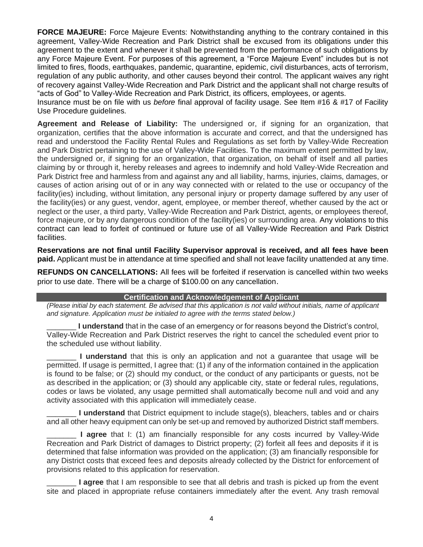**FORCE MAJEURE:** Force Majeure Events: Notwithstanding anything to the contrary contained in this agreement, Valley-Wide Recreation and Park District shall be excused from its obligations under this agreement to the extent and whenever it shall be prevented from the performance of such obligations by any Force Majeure Event. For purposes of this agreement, a "Force Majeure Event" includes but is not limited to fires, floods, earthquakes, pandemic, quarantine, epidemic, civil disturbances, acts of terrorism, regulation of any public authority, and other causes beyond their control. The applicant waives any right of recovery against Valley-Wide Recreation and Park District and the applicant shall not charge results of "acts of God" to Valley-Wide Recreation and Park District, its officers, employees, or agents.

Insurance must be on file with us *before* final approval of facility usage. See Item #16 & #17 of Facility Use Procedure guidelines.

**Agreement and Release of Liability:** The undersigned or, if signing for an organization, that organization, certifies that the above information is accurate and correct, and that the undersigned has read and understood the Facility Rental Rules and Regulations as set forth by Valley-Wide Recreation and Park District pertaining to the use of Valley-Wide Facilities. To the maximum extent permitted by law, the undersigned or, if signing for an organization, that organization, on behalf of itself and all parties claiming by or through it, hereby releases and agrees to indemnify and hold Valley-Wide Recreation and Park District free and harmless from and against any and all liability, harms, injuries, claims, damages, or causes of action arising out of or in any way connected with or related to the use or occupancy of the facility(ies) including, without limitation, any personal injury or property damage suffered by any user of the facility(ies) or any guest, vendor, agent, employee, or member thereof, whether caused by the act or neglect or the user, a third party, Valley-Wide Recreation and Park District, agents, or employees thereof, force majeure, or by any dangerous condition of the facility(ies) or surrounding area. Any violations to this contract can lead to forfeit of continued or future use of all Valley-Wide Recreation and Park District facilities.

**Reservations are not final until Facility Supervisor approval is received, and all fees have been paid.** Applicant must be in attendance at time specified and shall not leave facility unattended at any time.

**REFUNDS ON CANCELLATIONS:** All fees will be forfeited if reservation is cancelled within two weeks prior to use date. There will be a charge of \$100.00 on any cancellation.

## **Certification and Acknowledgement of Applicant**

*(Please initial by each statement. Be advised that this application is not valid without initials, name of applicant and signature. Application must be initialed to agree with the terms stated below.)*

**I understand** that in the case of an emergency or for reasons beyond the District's control, Valley-Wide Recreation and Park District reserves the right to cancel the scheduled event prior to the scheduled use without liability.

**I understand** that this is only an application and not a guarantee that usage will be permitted. If usage is permitted, I agree that: (1) if any of the information contained in the application is found to be false; or (2) should my conduct, or the conduct of any participants or guests, not be as described in the application; or (3) should any applicable city, state or federal rules, regulations, codes or laws be violated, any usage permitted shall automatically become null and void and any activity associated with this application will immediately cease.

**I understand** that District equipment to include stage(s), bleachers, tables and or chairs and all other heavy equipment can only be set-up and removed by authorized District staff members.

**I agree** that I: (1) am financially responsible for any costs incurred by Valley-Wide Recreation and Park District of damages to District property; (2) forfeit all fees and deposits if it is determined that false information was provided on the application; (3) am financially responsible for any District costs that exceed fees and deposits already collected by the District for enforcement of provisions related to this application for reservation.

I agree that I am responsible to see that all debris and trash is picked up from the event site and placed in appropriate refuse containers immediately after the event. Any trash removal